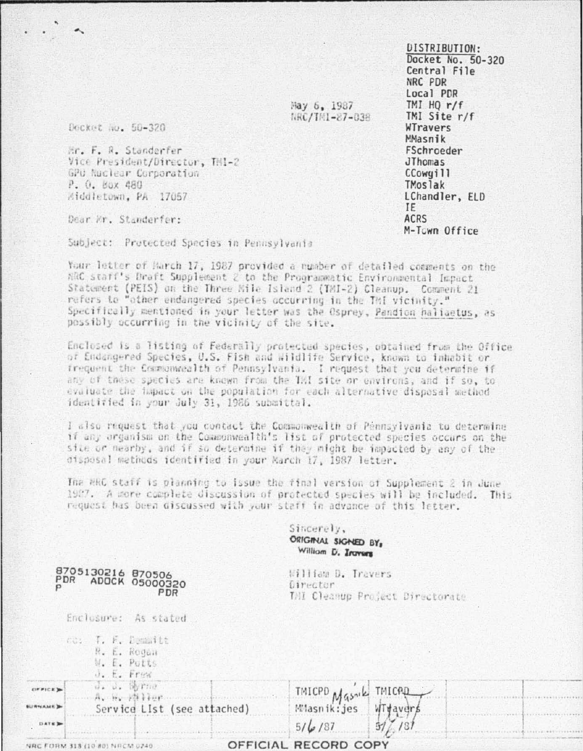DISTRIBUTION-Docket No. 50-320 Central File NRC PDR Local PDR TMI  $HO r/f$ TMI Site r/f WTravers MMasnik **FSchroeder** JThomas CCowgill **TMoslak** LChandler, ELD IF **ACRS** M-Town Office

May 6, 1987 MRC/TH1-87-038

Docket No. 50-320

Hr. F. R. Standerfer Vice President/Director, TMI-2 GPU Nuclear Corporation P. O. Box 480 Middletown, PA 17057

Dear Er. Standerfer:

Subject: Protected Species in Pennsylvania

Your letter of March 17, 1987 provided a number of detailed comments on the ARC staff's Draft Supplement 2 to the Programmatic Environmental Impact Statement (PEIS) on the Three Nile Island 2 (TMI-2) Cleanup. Comment 21 refers to "other endangered species occurring in the TMI vicinity." Specifically mentioned in your letter was the Osprey, Pandion haliaetus, as possibly occurring in the vicinity of the site.

Enclosed is a listing of Federally protected species, obtained from the Office of Endangered Species, U.S. Fish and Wildlife Service, known to inhabit or frequent the Commonwealth of Pennsylvania. I request that you determine if any of these species are known from the TMI site or environs, and if so, to evaluate the hapact on the population for each alternative dispesal method identified in your July 31, 1986 submittal.

I also request that you contact the Commonwealth of Pennsylvania to determine if any organism on the Commonwealth's list of protected species occurs on the sile or nearby, and if so determine if they might be impacted by any of the disposal methods identified in your March 17, 1987 letter.

The RRC staff is planning to issue the final version of Supplement 2 in June 1987. A more complete discussion of protected species will be included. This request has been discussed with your staff in advance of this letter.

> Sincerely, ORIGINAL SIGNED BY. William D. Iroyers

William D. Travers Director. THI Cleanup Project Directorate

|             | co. T. F. Demmitt<br>R. E. Rogan<br>W. E. Putts<br>J. E. Frew |           |                      |        |  |
|-------------|---------------------------------------------------------------|-----------|----------------------|--------|--|
|             | d. d. Wrne<br>$A_{\lambda}$ by $A_{\lambda}$ is a fixed       |           |                      |        |  |
|             | Service LIst (see attached)                                   |           | TMICPD Massik TMICPD |        |  |
| <b>DATE</b> |                                                               |           | $5/\frac{1}{2}$ /87  | 31/181 |  |
|             |                                                               | $\bigcap$ | DECADA CADV          |        |  |

8705130216 870506 PDR ADOCK 05000320 PDR

Enclosure: As stated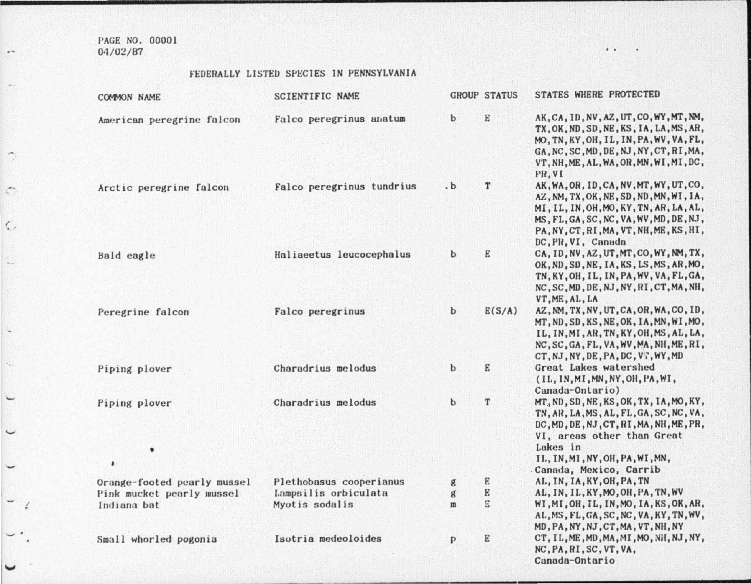PAGE NO. 00001  $04/02/87$ 

 $\lambda$ 

 $\mathcal{L}$ 

 $\zeta$ 

## FEDERALLY LISTED SPECIES IN PENNSYLVANIA

| COMMON NAME                 | SCIENTIFIC NAME           |              | <b>GROUP STATUS</b> | STATES WHERE PROTECTED                                                                                                                                                                                                                    |
|-----------------------------|---------------------------|--------------|---------------------|-------------------------------------------------------------------------------------------------------------------------------------------------------------------------------------------------------------------------------------------|
| American peregrine falcon   | Falco peregrinus anatum   | b            | E                   | AK, CA, ID, NV, AZ, UT, CO, WY, MT, NM,<br>TX.OK.ND.SD.NE.KS.IA.LA.MS.AR.<br>MO, TN, KY, OH, IL, IN, PA, WV, VA, FL,<br>GA. NC. SC. MD. DE, NJ. NY. CT. RI. MA.<br>VT. NH. ME. AL. WA. OR. MN. WI. MI. DC.<br>PR.VI                       |
| Arctic peregrine falcon     | Falco peregrinus tundrius | $\cdot b$    | T                   | AK, WA, OR, ID, CA, NV, MT, WY, UT, CO,<br>AZ, NM, TX, OK, NE, SD, ND, MN, WI, IA,<br>MI, IL, IN, OH, MO, KY, TN, AR, LA, AL,<br>MS, FL, GA, SC, NC, VA, WV, MD, DE, NJ,<br>PA, NY, CT, RI, MA, VT, NH, ME, KS, HI,<br>DC, PR, VI, Canada |
| Bald eagle                  | Haliaeetus leucocephalus  | b            | E                   | CA, ID, NV, AZ, UT, MT, CO, WY, NM, TX,<br>OK, ND, SD, NE, IA, KS, LS, MS, AR, MO,<br>TN, KY, OH, IL, IN, PA, WV, VA, FL, GA,<br>NC, SC, MD, DE, NJ, NY, RI, CT, MA, NH,<br>VT, ME, AL, LA                                                |
| Peregrine falcon            | Falco peregrinus          | b            | E(S/A)              | AZ, NM, TX, NV, UT, CA, OR, WA, CO, ID,<br>MT, ND, SD, KS, NE, OK, IA, MN, WI, MO,<br>IL, IN, MI, AR, TN, KY, OH, MS, AL, LA,<br>NC, SC, GA, FL, VA, WV, MA, NH, ME, RI,<br>CT, NJ, NY, DE, PA, DC, VT, WY, MD                            |
| Piping plover               | Charadrius melodus        | $\mathbf b$  | E                   | Great Lakes watershed<br>(IL, IN, MI, MN, NY, OH, PA, WI,<br>Canada-Ontario)                                                                                                                                                              |
| Piping plover<br>٠<br>٠     | Charadrius melodus        | b            | T                   | MT, ND, SD, NE, KS, OK, TX, IA, MO, KY,<br>TN, AR, LA, MS, AL, FL, GA, SC, NC, VA,<br>DC, MD, DE, NJ, CT, RI, MA, NH, ME, PR,<br>VI, areas other than Great<br>Lakes in<br>IL, IN, MI, NY, OH, PA, WI, MN,<br>Canada, Mexico, Carrib      |
| Orange-footed pearly mussel | Plethobasus cooperianus   | g            | E                   | AL, IN, IA, KY, OH, PA, TN                                                                                                                                                                                                                |
| Pink mucket pearly mussel   | Lampsilis orbiculata      | g            | E                   | AL, IN, IL, KY, MO, OH, PA, TN, WV                                                                                                                                                                                                        |
| Indiana bat                 | Myotis sodalis            | $\mathbf{m}$ | E                   | WI, MI, OH, IL, IN, MO, IA, KS, OK, AR,<br>AL, MS, FL, GA, SC, NC, VA, KY, TN, WV,<br>MD, PA, NY, NJ, CT, MA, VT, NH, NY                                                                                                                  |
| Small whorled pogonia       | Isotria medeoloides       | p            | E                   | CT, IL, ME, MD, MA, MI, MO, NH, NJ, NY,<br>NC, PA, RI, SC, VT, VA,<br>Canada-Ontario                                                                                                                                                      |